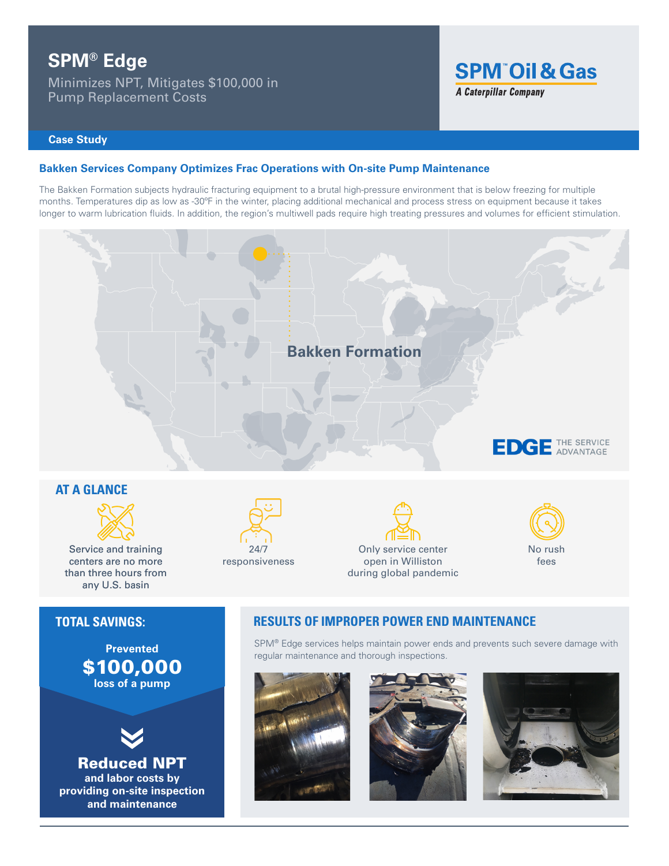# **SPM® Edge**

Minimizes NPT, Mitigates \$100,000 in Pump Replacement Costs



## **Case Study**

## **Bakken Services Company Optimizes Frac Operations with On-site Pump Maintenance**

The Bakken Formation subjects hydraulic fracturing equipment to a brutal high-pressure environment that is below freezing for multiple months. Temperatures dip as low as -30ºF in the winter, placing additional mechanical and process stress on equipment because it takes longer to warm lubrication fluids. In addition, the region's multiwell pads require high treating pressures and volumes for efficient stimulation.



Reduced NPT **and labor costs by providing on-site inspection and maintenance**